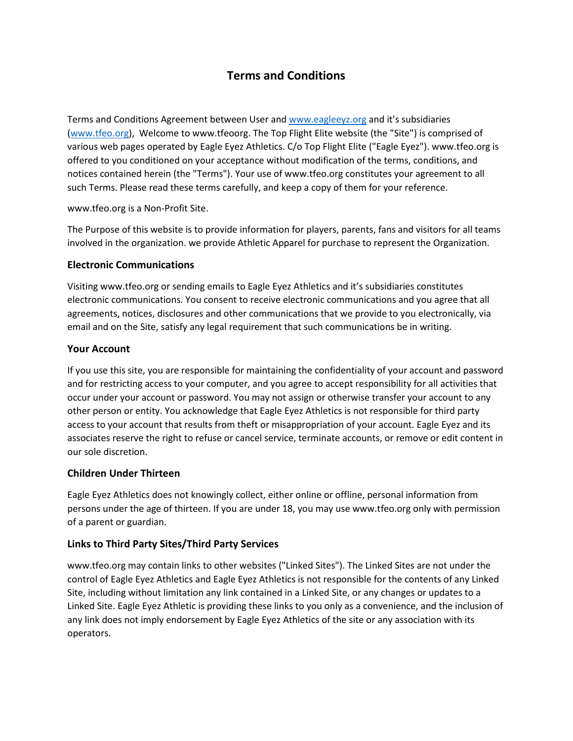# **Terms and Conditions**

Terms and Conditions Agreement between User and [www.eagleeyz.org](http://www.eagleeyz.org/) and it's subsidiaries [\(www.tfeo.org\)](http://www.tfeo.org/), Welcome to www.tfeoorg. The Top Flight Elite website (the "Site") is comprised of various web pages operated by Eagle Eyez Athletics. C/o Top Flight Elite ("Eagle Eyez"). www.tfeo.org is offered to you conditioned on your acceptance without modification of the terms, conditions, and notices contained herein (the "Terms"). Your use of www.tfeo.org constitutes your agreement to all such Terms. Please read these terms carefully, and keep a copy of them for your reference.

www.tfeo.org is a Non-Profit Site.

The Purpose of this website is to provide information for players, parents, fans and visitors for all teams involved in the organization. we provide Athletic Apparel for purchase to represent the Organization.

### **Electronic Communications**

Visiting www.tfeo.org or sending emails to Eagle Eyez Athletics and it's subsidiaries constitutes electronic communications. You consent to receive electronic communications and you agree that all agreements, notices, disclosures and other communications that we provide to you electronically, via email and on the Site, satisfy any legal requirement that such communications be in writing.

### **Your Account**

If you use this site, you are responsible for maintaining the confidentiality of your account and password and for restricting access to your computer, and you agree to accept responsibility for all activities that occur under your account or password. You may not assign or otherwise transfer your account to any other person or entity. You acknowledge that Eagle Eyez Athletics is not responsible for third party access to your account that results from theft or misappropriation of your account. Eagle Eyez and its associates reserve the right to refuse or cancel service, terminate accounts, or remove or edit content in our sole discretion.

### **Children Under Thirteen**

Eagle Eyez Athletics does not knowingly collect, either online or offline, personal information from persons under the age of thirteen. If you are under 18, you may use www.tfeo.org only with permission of a parent or guardian.

### **Links to Third Party Sites/Third Party Services**

www.tfeo.org may contain links to other websites ("Linked Sites"). The Linked Sites are not under the control of Eagle Eyez Athletics and Eagle Eyez Athletics is not responsible for the contents of any Linked Site, including without limitation any link contained in a Linked Site, or any changes or updates to a Linked Site. Eagle Eyez Athletic is providing these links to you only as a convenience, and the inclusion of any link does not imply endorsement by Eagle Eyez Athletics of the site or any association with its operators.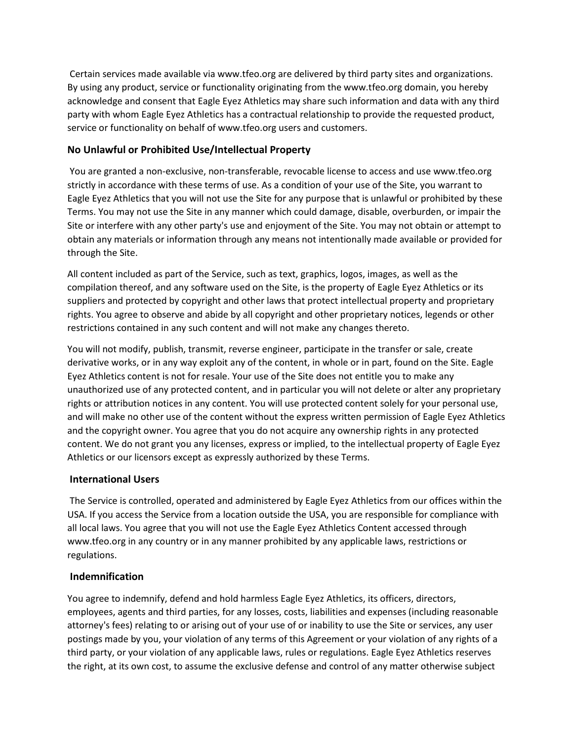Certain services made available via www.tfeo.org are delivered by third party sites and organizations. By using any product, service or functionality originating from the www.tfeo.org domain, you hereby acknowledge and consent that Eagle Eyez Athletics may share such information and data with any third party with whom Eagle Eyez Athletics has a contractual relationship to provide the requested product, service or functionality on behalf of www.tfeo.org users and customers.

# **No Unlawful or Prohibited Use/Intellectual Property**

You are granted a non-exclusive, non-transferable, revocable license to access and use www.tfeo.org strictly in accordance with these terms of use. As a condition of your use of the Site, you warrant to Eagle Eyez Athletics that you will not use the Site for any purpose that is unlawful or prohibited by these Terms. You may not use the Site in any manner which could damage, disable, overburden, or impair the Site or interfere with any other party's use and enjoyment of the Site. You may not obtain or attempt to obtain any materials or information through any means not intentionally made available or provided for through the Site.

All content included as part of the Service, such as text, graphics, logos, images, as well as the compilation thereof, and any software used on the Site, is the property of Eagle Eyez Athletics or its suppliers and protected by copyright and other laws that protect intellectual property and proprietary rights. You agree to observe and abide by all copyright and other proprietary notices, legends or other restrictions contained in any such content and will not make any changes thereto.

You will not modify, publish, transmit, reverse engineer, participate in the transfer or sale, create derivative works, or in any way exploit any of the content, in whole or in part, found on the Site. Eagle Eyez Athletics content is not for resale. Your use of the Site does not entitle you to make any unauthorized use of any protected content, and in particular you will not delete or alter any proprietary rights or attribution notices in any content. You will use protected content solely for your personal use, and will make no other use of the content without the express written permission of Eagle Eyez Athletics and the copyright owner. You agree that you do not acquire any ownership rights in any protected content. We do not grant you any licenses, express or implied, to the intellectual property of Eagle Eyez Athletics or our licensors except as expressly authorized by these Terms.

### **International Users**

The Service is controlled, operated and administered by Eagle Eyez Athletics from our offices within the USA. If you access the Service from a location outside the USA, you are responsible for compliance with all local laws. You agree that you will not use the Eagle Eyez Athletics Content accessed through www.tfeo.org in any country or in any manner prohibited by any applicable laws, restrictions or regulations.

# **Indemnification**

You agree to indemnify, defend and hold harmless Eagle Eyez Athletics, its officers, directors, employees, agents and third parties, for any losses, costs, liabilities and expenses (including reasonable attorney's fees) relating to or arising out of your use of or inability to use the Site or services, any user postings made by you, your violation of any terms of this Agreement or your violation of any rights of a third party, or your violation of any applicable laws, rules or regulations. Eagle Eyez Athletics reserves the right, at its own cost, to assume the exclusive defense and control of any matter otherwise subject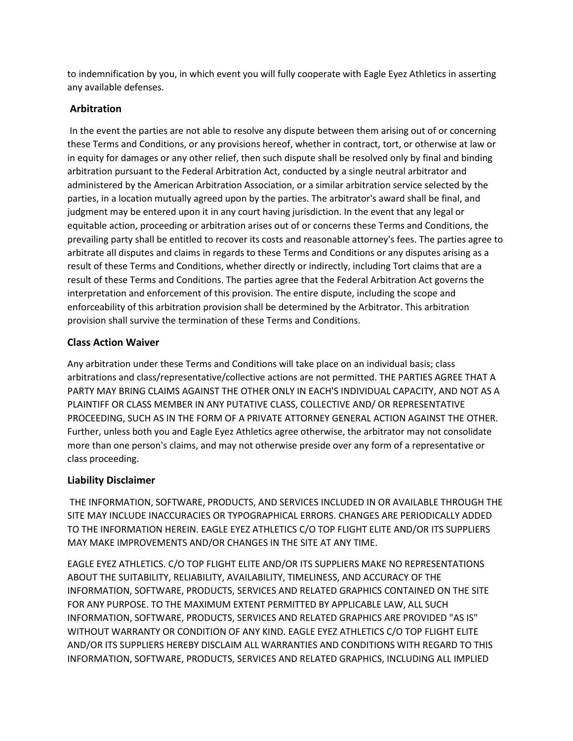to indemnification by you, in which event you will fully cooperate with Eagle Eyez Athletics in asserting any available defenses.

### **Arbitration**

In the event the parties are not able to resolve any dispute between them arising out of or concerning these Terms and Conditions, or any provisions hereof, whether in contract, tort, or otherwise at law or in equity for damages or any other relief, then such dispute shall be resolved only by final and binding arbitration pursuant to the Federal Arbitration Act, conducted by a single neutral arbitrator and administered by the American Arbitration Association, or a similar arbitration service selected by the parties, in a location mutually agreed upon by the parties. The arbitrator's award shall be final, and judgment may be entered upon it in any court having jurisdiction. In the event that any legal or equitable action, proceeding or arbitration arises out of or concerns these Terms and Conditions, the prevailing party shall be entitled to recover its costs and reasonable attorney's fees. The parties agree to arbitrate all disputes and claims in regards to these Terms and Conditions or any disputes arising as a result of these Terms and Conditions, whether directly or indirectly, including Tort claims that are a result of these Terms and Conditions. The parties agree that the Federal Arbitration Act governs the interpretation and enforcement of this provision. The entire dispute, including the scope and enforceability of this arbitration provision shall be determined by the Arbitrator. This arbitration provision shall survive the termination of these Terms and Conditions.

# **Class Action Waiver**

Any arbitration under these Terms and Conditions will take place on an individual basis; class arbitrations and class/representative/collective actions are not permitted. THE PARTIES AGREE THAT A PARTY MAY BRING CLAIMS AGAINST THE OTHER ONLY IN EACH'S INDIVIDUAL CAPACITY, AND NOT AS A PLAINTIFF OR CLASS MEMBER IN ANY PUTATIVE CLASS, COLLECTIVE AND/ OR REPRESENTATIVE PROCEEDING, SUCH AS IN THE FORM OF A PRIVATE ATTORNEY GENERAL ACTION AGAINST THE OTHER. Further, unless both you and Eagle Eyez Athletics agree otherwise, the arbitrator may not consolidate more than one person's claims, and may not otherwise preside over any form of a representative or class proceeding.

### **Liability Disclaimer**

THE INFORMATION, SOFTWARE, PRODUCTS, AND SERVICES INCLUDED IN OR AVAILABLE THROUGH THE SITE MAY INCLUDE INACCURACIES OR TYPOGRAPHICAL ERRORS. CHANGES ARE PERIODICALLY ADDED TO THE INFORMATION HEREIN. EAGLE EYEZ ATHLETICS C/O TOP FLIGHT ELITE AND/OR ITS SUPPLIERS MAY MAKE IMPROVEMENTS AND/OR CHANGES IN THE SITE AT ANY TIME.

EAGLE EYEZ ATHLETICS. C/O TOP FLIGHT ELITE AND/OR ITS SUPPLIERS MAKE NO REPRESENTATIONS ABOUT THE SUITABILITY, RELIABILITY, AVAILABILITY, TIMELINESS, AND ACCURACY OF THE INFORMATION, SOFTWARE, PRODUCTS, SERVICES AND RELATED GRAPHICS CONTAINED ON THE SITE FOR ANY PURPOSE. TO THE MAXIMUM EXTENT PERMITTED BY APPLICABLE LAW, ALL SUCH INFORMATION, SOFTWARE, PRODUCTS, SERVICES AND RELATED GRAPHICS ARE PROVIDED "AS IS" WITHOUT WARRANTY OR CONDITION OF ANY KIND. EAGLE EYEZ ATHLETICS C/O TOP FLIGHT ELITE AND/OR ITS SUPPLIERS HEREBY DISCLAIM ALL WARRANTIES AND CONDITIONS WITH REGARD TO THIS INFORMATION, SOFTWARE, PRODUCTS, SERVICES AND RELATED GRAPHICS, INCLUDING ALL IMPLIED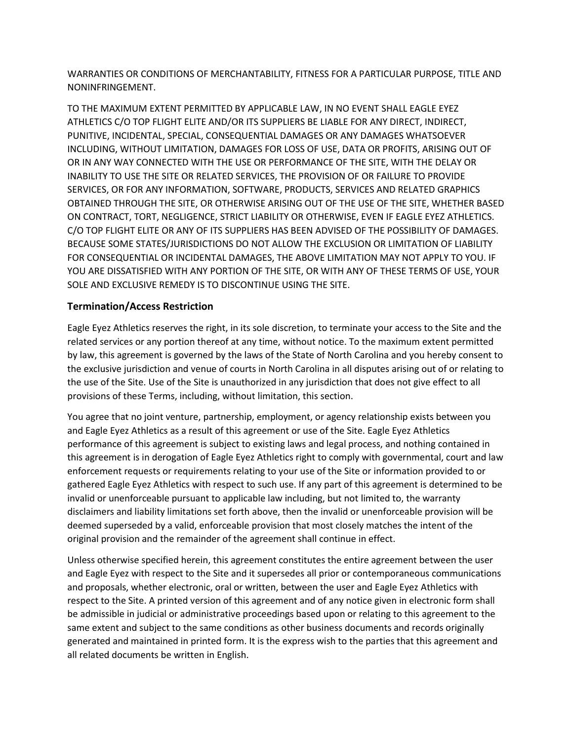WARRANTIES OR CONDITIONS OF MERCHANTABILITY, FITNESS FOR A PARTICULAR PURPOSE, TITLE AND NONINFRINGEMENT.

TO THE MAXIMUM EXTENT PERMITTED BY APPLICABLE LAW, IN NO EVENT SHALL EAGLE EYEZ ATHLETICS C/O TOP FLIGHT ELITE AND/OR ITS SUPPLIERS BE LIABLE FOR ANY DIRECT, INDIRECT, PUNITIVE, INCIDENTAL, SPECIAL, CONSEQUENTIAL DAMAGES OR ANY DAMAGES WHATSOEVER INCLUDING, WITHOUT LIMITATION, DAMAGES FOR LOSS OF USE, DATA OR PROFITS, ARISING OUT OF OR IN ANY WAY CONNECTED WITH THE USE OR PERFORMANCE OF THE SITE, WITH THE DELAY OR INABILITY TO USE THE SITE OR RELATED SERVICES, THE PROVISION OF OR FAILURE TO PROVIDE SERVICES, OR FOR ANY INFORMATION, SOFTWARE, PRODUCTS, SERVICES AND RELATED GRAPHICS OBTAINED THROUGH THE SITE, OR OTHERWISE ARISING OUT OF THE USE OF THE SITE, WHETHER BASED ON CONTRACT, TORT, NEGLIGENCE, STRICT LIABILITY OR OTHERWISE, EVEN IF EAGLE EYEZ ATHLETICS. C/O TOP FLIGHT ELITE OR ANY OF ITS SUPPLIERS HAS BEEN ADVISED OF THE POSSIBILITY OF DAMAGES. BECAUSE SOME STATES/JURISDICTIONS DO NOT ALLOW THE EXCLUSION OR LIMITATION OF LIABILITY FOR CONSEQUENTIAL OR INCIDENTAL DAMAGES, THE ABOVE LIMITATION MAY NOT APPLY TO YOU. IF YOU ARE DISSATISFIED WITH ANY PORTION OF THE SITE, OR WITH ANY OF THESE TERMS OF USE, YOUR SOLE AND EXCLUSIVE REMEDY IS TO DISCONTINUE USING THE SITE.

# **Termination/Access Restriction**

Eagle Eyez Athletics reserves the right, in its sole discretion, to terminate your access to the Site and the related services or any portion thereof at any time, without notice. To the maximum extent permitted by law, this agreement is governed by the laws of the State of North Carolina and you hereby consent to the exclusive jurisdiction and venue of courts in North Carolina in all disputes arising out of or relating to the use of the Site. Use of the Site is unauthorized in any jurisdiction that does not give effect to all provisions of these Terms, including, without limitation, this section.

You agree that no joint venture, partnership, employment, or agency relationship exists between you and Eagle Eyez Athletics as a result of this agreement or use of the Site. Eagle Eyez Athletics performance of this agreement is subject to existing laws and legal process, and nothing contained in this agreement is in derogation of Eagle Eyez Athletics right to comply with governmental, court and law enforcement requests or requirements relating to your use of the Site or information provided to or gathered Eagle Eyez Athletics with respect to such use. If any part of this agreement is determined to be invalid or unenforceable pursuant to applicable law including, but not limited to, the warranty disclaimers and liability limitations set forth above, then the invalid or unenforceable provision will be deemed superseded by a valid, enforceable provision that most closely matches the intent of the original provision and the remainder of the agreement shall continue in effect.

Unless otherwise specified herein, this agreement constitutes the entire agreement between the user and Eagle Eyez with respect to the Site and it supersedes all prior or contemporaneous communications and proposals, whether electronic, oral or written, between the user and Eagle Eyez Athletics with respect to the Site. A printed version of this agreement and of any notice given in electronic form shall be admissible in judicial or administrative proceedings based upon or relating to this agreement to the same extent and subject to the same conditions as other business documents and records originally generated and maintained in printed form. It is the express wish to the parties that this agreement and all related documents be written in English.